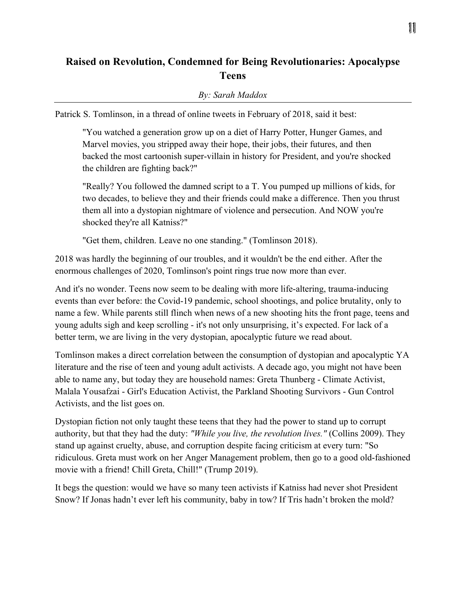## **Raised on Revolution, Condemned for Being Revolutionaries: Apocalypse Teens**

## *By: Sarah Maddox*

Patrick S. Tomlinson, in a thread of online tweets in February of 2018, said it best:

"You watched a generation grow up on a diet of Harry Potter, Hunger Games, and Marvel movies, you stripped away their hope, their jobs, their futures, and then backed the most cartoonish super-villain in history for President, and you're shocked the children are fighting back?"

"Really? You followed the damned script to a T. You pumped up millions of kids, for two decades, to believe they and their friends could make a difference. Then you thrust them all into a dystopian nightmare of violence and persecution. And NOW you're shocked they're all Katniss?"

"Get them, children. Leave no one standing." (Tomlinson 2018).

2018 was hardly the beginning of our troubles, and it wouldn't be the end either. After the enormous challenges of 2020, Tomlinson's point rings true now more than ever.

And it's no wonder. Teens now seem to be dealing with more life-altering, trauma-inducing events than ever before: the Covid-19 pandemic, school shootings, and police brutality, only to name a few. While parents still flinch when news of a new shooting hits the front page, teens and young adults sigh and keep scrolling - it's not only unsurprising, it's expected. For lack of a better term, we are living in the very dystopian, apocalyptic future we read about.

Tomlinson makes a direct correlation between the consumption of dystopian and apocalyptic YA literature and the rise of teen and young adult activists. A decade ago, you might not have been able to name any, but today they are household names: Greta Thunberg - Climate Activist, Malala Yousafzai - Girl's Education Activist, the Parkland Shooting Survivors - Gun Control Activists, and the list goes on.

Dystopian fiction not only taught these teens that they had the power to stand up to corrupt authority, but that they had the duty: *"While you live, the revolution lives."* (Collins 2009). They stand up against cruelty, abuse, and corruption despite facing criticism at every turn: "So ridiculous. Greta must work on her Anger Management problem, then go to a good old-fashioned movie with a friend! Chill Greta, Chill!" (Trump 2019).

It begs the question: would we have so many teen activists if Katniss had never shot President Snow? If Jonas hadn't ever left his community, baby in tow? If Tris hadn't broken the mold?